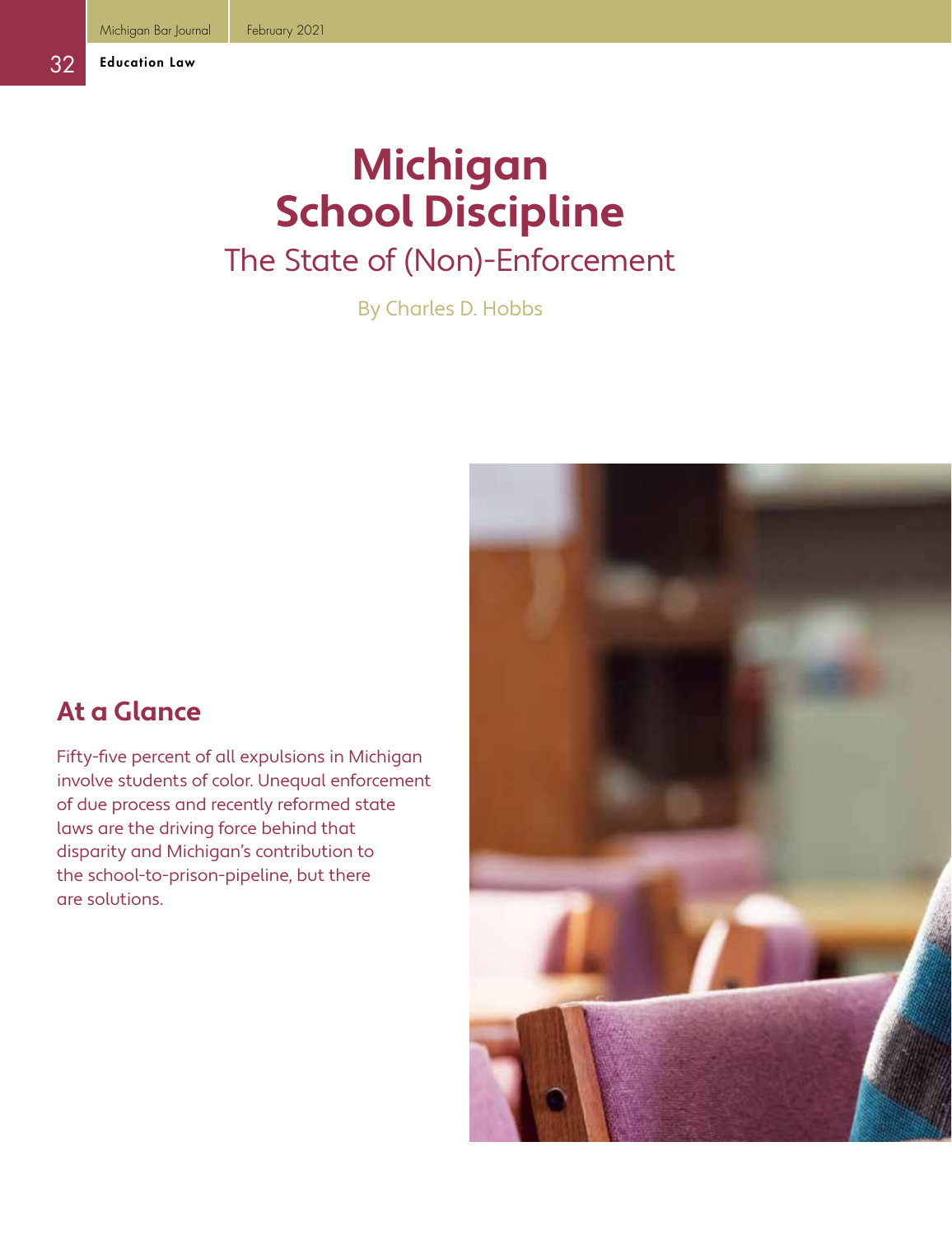# **Michigan School Discipline** The State of (Non)-Enforcement

By Charles D. Hobbs

# **At a Glance**

Fifty-five percent of all expulsions in Michigan involve students of color. Unequal enforcement of due process and recently reformed state laws are the driving force behind that disparity and Michigan's contribution to the school-to-prison-pipeline, but there are solutions.

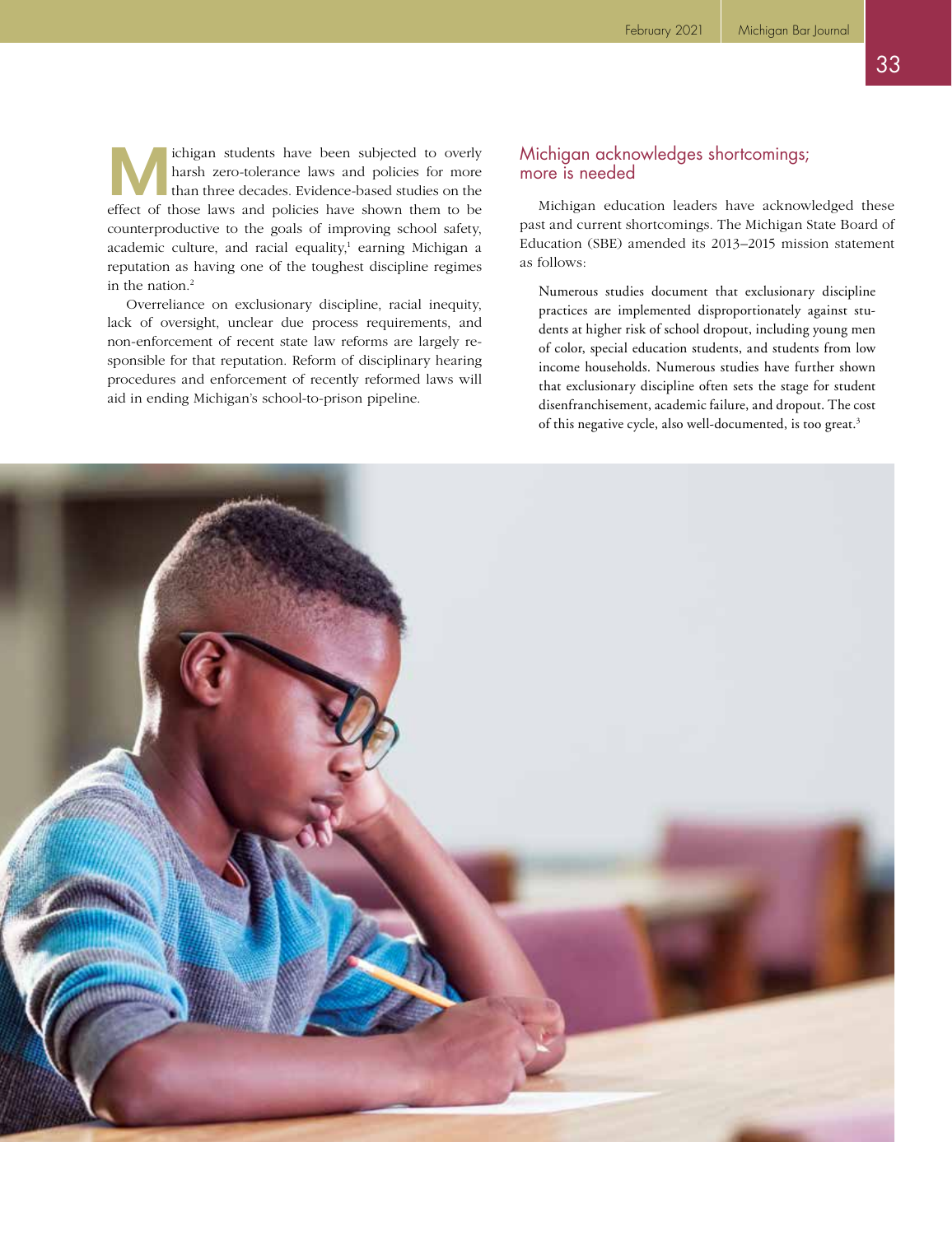**M**ichigan students have been subjected to overly harsh zero-tolerance laws and policies for more than three decades. Evidence-based studies on the effect of those laws and policies have shown them to be counterproductive to the goals of improving school safety, academic culture, and racial equality,<sup>1</sup> earning Michigan a reputation as having one of the toughest discipline regimes in the nation.<sup>2</sup>

Overreliance on exclusionary discipline, racial inequity, lack of oversight, unclear due process requirements, and non-enforcement of recent state law reforms are largely responsible for that reputation. Reform of disciplinary hearing procedures and enforcement of recently reformed laws will aid in ending Michigan's school-to-prison pipeline.

## Michigan acknowledges shortcomings; more is needed

Michigan education leaders have acknowledged these past and current shortcomings. The Michigan State Board of Education (SBE) amended its 2013–2015 mission statement as follows:

Numerous studies document that exclusionary discipline practices are implemented disproportionately against students at higher risk of school dropout, including young men of color, special education students, and students from low income households. Numerous studies have further shown that exclusionary discipline often sets the stage for student disenfranchisement, academic failure, and dropout. The cost of this negative cycle, also well-documented, is too great.<sup>3</sup>

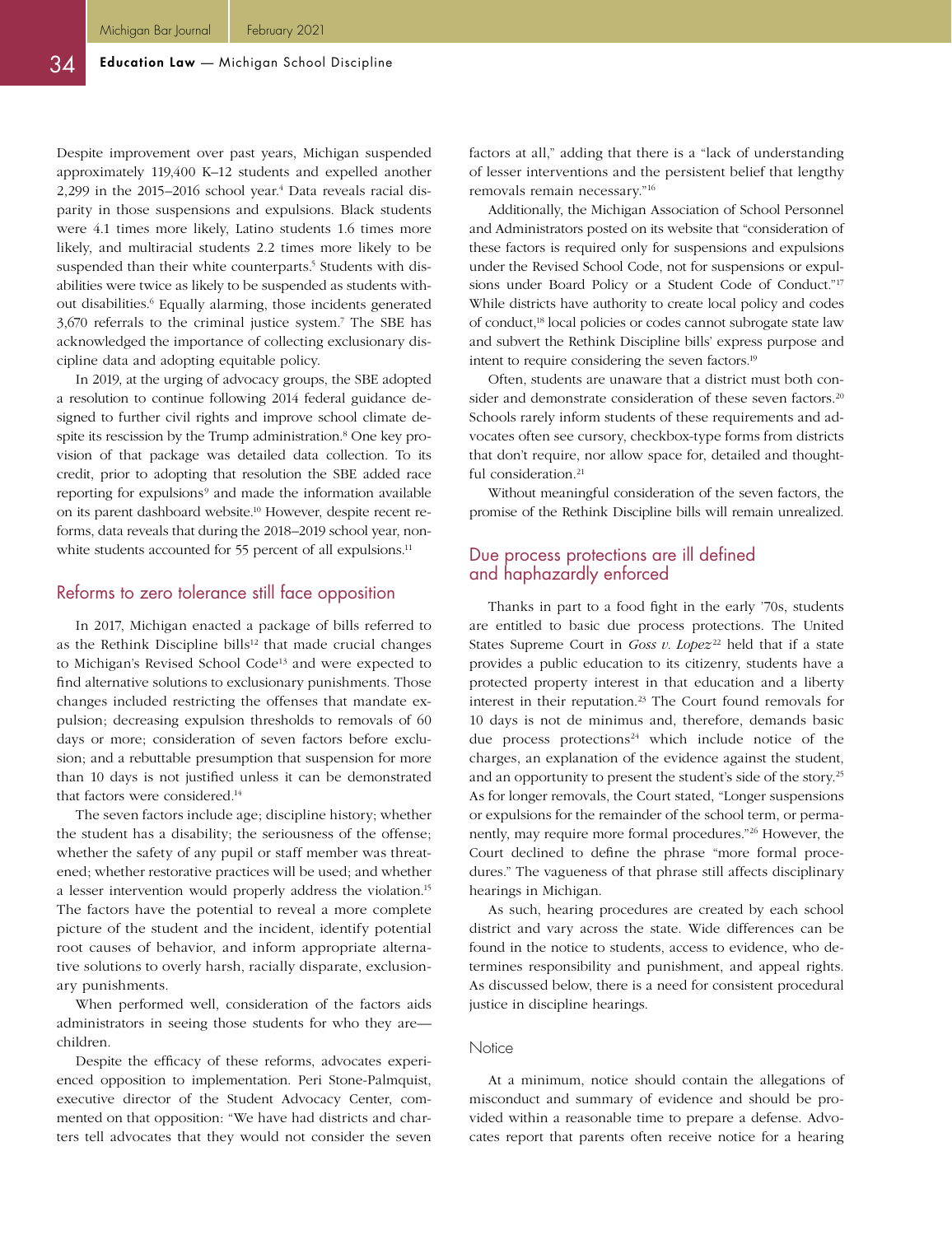Despite improvement over past years, Michigan suspended approximately 119,400 K–12 students and expelled another 2,299 in the 2015–2016 school year.<sup>4</sup> Data reveals racial disparity in those suspensions and expulsions. Black students were 4.1 times more likely, Latino students 1.6 times more likely, and multiracial students 2.2 times more likely to be suspended than their white counterparts.<sup>5</sup> Students with disabilities were twice as likely to be suspended as students without disabilities.6 Equally alarming, those incidents generated 3,670 referrals to the criminal justice system.7 The SBE has acknowledged the importance of collecting exclusionary discipline data and adopting equitable policy.

In 2019, at the urging of advocacy groups, the SBE adopted a resolution to continue following 2014 federal guidance designed to further civil rights and improve school climate despite its rescission by the Trump administration.<sup>8</sup> One key provision of that package was detailed data collection. To its credit, prior to adopting that resolution the SBE added race reporting for expulsions<sup>9</sup> and made the information available on its parent dashboard website.<sup>10</sup> However, despite recent reforms, data reveals that during the 2018–2019 school year, nonwhite students accounted for 55 percent of all expulsions.<sup>11</sup>

#### Reforms to zero tolerance still face opposition

In 2017, Michigan enacted a package of bills referred to as the Rethink Discipline bills<sup>12</sup> that made crucial changes to Michigan's Revised School Code<sup>13</sup> and were expected to find alternative solutions to exclusionary punishments. Those changes included restricting the offenses that mandate expulsion; decreasing expulsion thresholds to removals of 60 days or more; consideration of seven factors before exclusion; and a rebuttable presumption that suspension for more than 10 days is not justified unless it can be demonstrated that factors were considered.14

The seven factors include age; discipline history; whether the student has a disability; the seriousness of the offense; whether the safety of any pupil or staff member was threatened; whether restorative practices will be used; and whether a lesser intervention would properly address the violation.15 The factors have the potential to reveal a more complete picture of the student and the incident, identify potential root causes of behavior, and inform appropriate alternative solutions to overly harsh, racially disparate, exclusionary punishments.

When performed well, consideration of the factors aids administrators in seeing those students for who they are children.

Despite the efficacy of these reforms, advocates experienced opposition to implementation. Peri Stone-Palmquist, executive director of the Student Advocacy Center, commented on that opposition: "We have had districts and charters tell advocates that they would not consider the seven factors at all," adding that there is a "lack of understanding of lesser interventions and the persistent belief that lengthy removals remain necessary."16

Additionally, the Michigan Association of School Personnel and Administrators posted on its website that "consideration of these factors is required only for suspensions and expulsions under the Revised School Code, not for suspensions or expulsions under Board Policy or a Student Code of Conduct."17 While districts have authority to create local policy and codes of conduct,18 local policies or codes cannot subrogate state law and subvert the Rethink Discipline bills' express purpose and intent to require considering the seven factors.<sup>19</sup>

Often, students are unaware that a district must both consider and demonstrate consideration of these seven factors.<sup>20</sup> Schools rarely inform students of these requirements and advocates often see cursory, checkbox-type forms from districts that don't require, nor allow space for, detailed and thoughtful consideration.<sup>21</sup>

Without meaningful consideration of the seven factors, the promise of the Rethink Discipline bills will remain unrealized.

# Due process protections are ill defined and haphazardly enforced

Thanks in part to a food fight in the early '70s, students are entitled to basic due process protections. The United States Supreme Court in *Goss v. Lopez*<sup>22</sup> held that if a state provides a public education to its citizenry, students have a protected property interest in that education and a liberty interest in their reputation.<sup>23</sup> The Court found removals for 10 days is not de minimus and, therefore, demands basic due process protections $24$  which include notice of the charges, an explanation of the evidence against the student, and an opportunity to present the student's side of the story.25 As for longer removals, the Court stated, "Longer suspensions or expulsions for the remainder of the school term, or permanently, may require more formal procedures."26 However, the Court declined to define the phrase "more formal procedures." The vagueness of that phrase still affects disciplinary hearings in Michigan.

As such, hearing procedures are created by each school district and vary across the state. Wide differences can be found in the notice to students, access to evidence, who determines responsibility and punishment, and appeal rights. As discussed below, there is a need for consistent procedural justice in discipline hearings.

#### **Notice**

At a minimum, notice should contain the allegations of misconduct and summary of evidence and should be provided within a reasonable time to prepare a defense. Advocates report that parents often receive notice for a hearing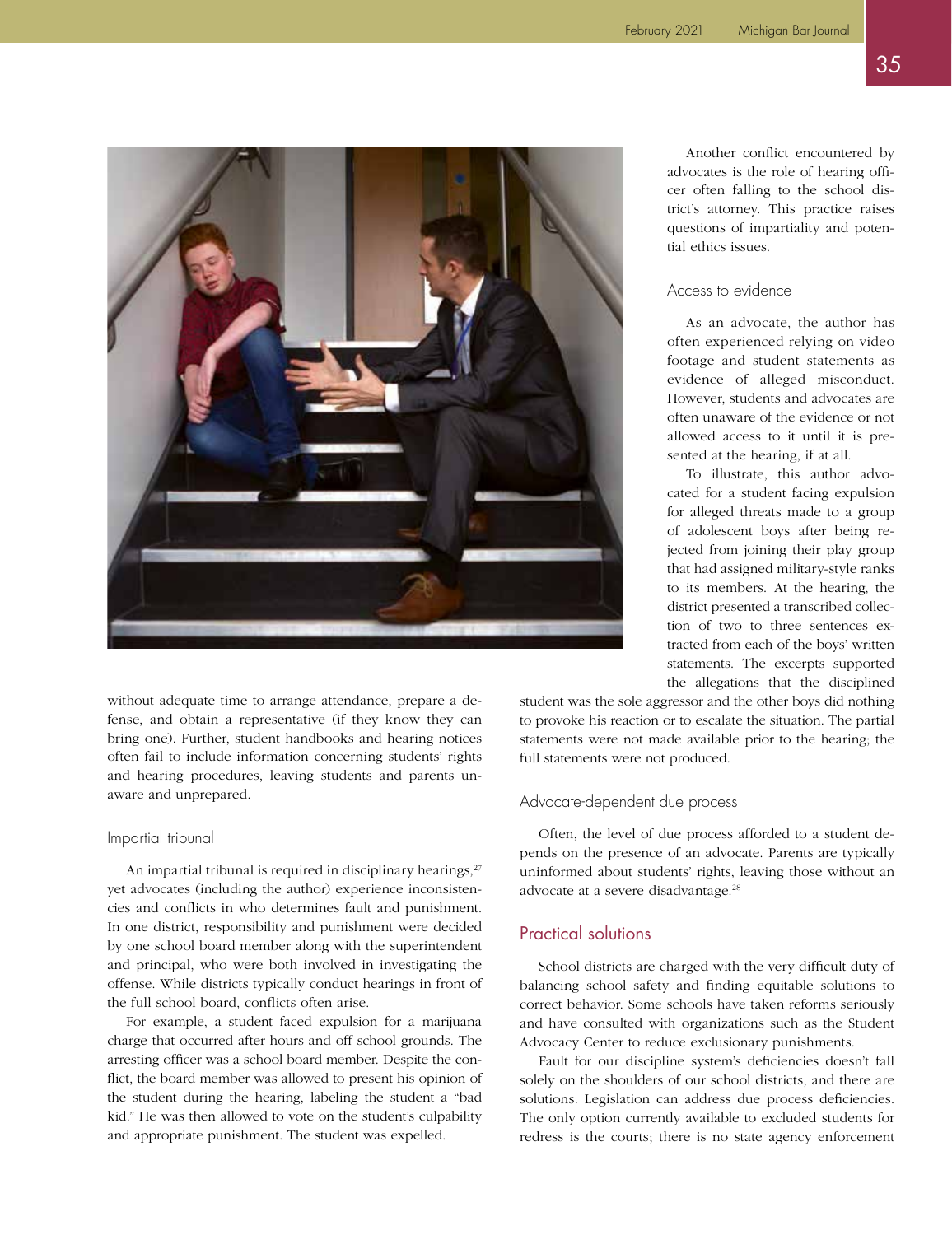

without adequate time to arrange attendance, prepare a defense, and obtain a representative (if they know they can bring one). Further, student handbooks and hearing notices often fail to include information concerning students' rights and hearing procedures, leaving students and parents unaware and unprepared.

#### Impartial tribunal

An impartial tribunal is required in disciplinary hearings,<sup>27</sup> yet advocates (including the author) experience inconsistencies and conflicts in who determines fault and punishment. In one district, responsibility and punishment were decided by one school board member along with the superintendent and principal, who were both involved in investigating the offense. While districts typically conduct hearings in front of the full school board, conflicts often arise.

For example, a student faced expulsion for a marijuana charge that occurred after hours and off school grounds. The arresting officer was a school board member. Despite the conflict, the board member was allowed to present his opinion of the student during the hearing, labeling the student a "bad kid." He was then allowed to vote on the student's culpability and appropriate punishment. The student was expelled.

Another conflict encountered by advocates is the role of hearing officer often falling to the school district's attorney. This practice raises questions of impartiality and potential ethics issues.

#### Access to evidence

As an advocate, the author has often experienced relying on video footage and student statements as evidence of alleged misconduct. However, students and advocates are often unaware of the evidence or not allowed access to it until it is presented at the hearing, if at all.

To illustrate, this author advocated for a student facing expulsion for alleged threats made to a group of adolescent boys after being rejected from joining their play group that had assigned military-style ranks to its members. At the hearing, the district presented a transcribed collection of two to three sentences extracted from each of the boys' written statements. The excerpts supported the allegations that the disciplined

student was the sole aggressor and the other boys did nothing to provoke his reaction or to escalate the situation. The partial statements were not made available prior to the hearing; the full statements were not produced.

#### Advocate-dependent due process

Often, the level of due process afforded to a student depends on the presence of an advocate. Parents are typically uninformed about students' rights, leaving those without an advocate at a severe disadvantage.<sup>28</sup>

### Practical solutions

School districts are charged with the very difficult duty of balancing school safety and finding equitable solutions to correct behavior. Some schools have taken reforms seriously and have consulted with organizations such as the Student Advocacy Center to reduce exclusionary punishments.

Fault for our discipline system's deficiencies doesn't fall solely on the shoulders of our school districts, and there are solutions. Legislation can address due process deficiencies. The only option currently available to excluded students for redress is the courts; there is no state agency enforcement